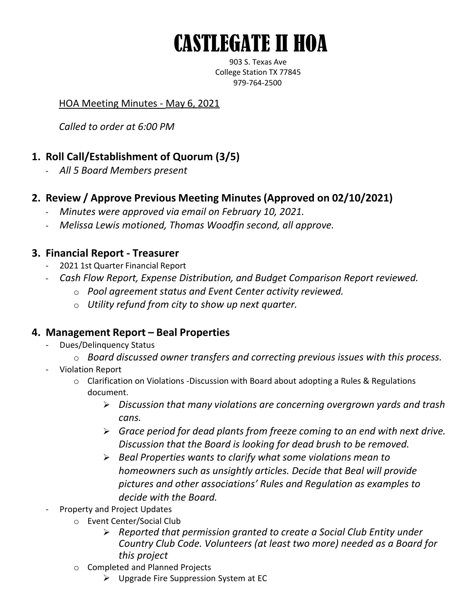# CASTLEGATE II HOA

903 S. Texas Ave College Station TX 77845 979-764-2500

#### HOA Meeting Minutes - May 6, 2021

*Called to order at 6:00 PM*

# **1. Roll Call/Establishment of Quorum (3/5)**

- *All 5 Board Members present*
- **2. Review / Approve Previous Meeting Minutes (Approved on 02/10/2021)**
	- *Minutes were approved via email on February 10, 2021.*
	- *Melissa Lewis motioned, Thomas Woodfin second, all approve.*

## **3. Financial Report - Treasurer**

- 2021 1st Quarter Financial Report
- *Cash Flow Report, Expense Distribution, and Budget Comparison Report reviewed.*
	- o *Pool agreement status and Event Center activity reviewed.*
	- o *Utility refund from city to show up next quarter.*

### **4. Management Report – Beal Properties**

- Dues/Delinquency Status
	- o *Board discussed owner transfers and correcting previous issues with this process.*
- Violation Report
	- o Clarification on Violations -Discussion with Board about adopting a Rules & Regulations document.
		- ➢ *Discussion that many violations are concerning overgrown yards and trash cans.*
		- ➢ *Grace period for dead plants from freeze coming to an end with next drive. Discussion that the Board is looking for dead brush to be removed.*
		- ➢ *Beal Properties wants to clarify what some violations mean to homeowners such as unsightly articles. Decide that Beal will provide pictures and other associations' Rules and Regulation as examples to decide with the Board.*
- Property and Project Updates
	- o Event Center/Social Club
		- ➢ *Reported that permission granted to create a Social Club Entity under Country Club Code. Volunteers (at least two more) needed as a Board for this project*
	- o Completed and Planned Projects
		- ➢ Upgrade Fire Suppression System at EC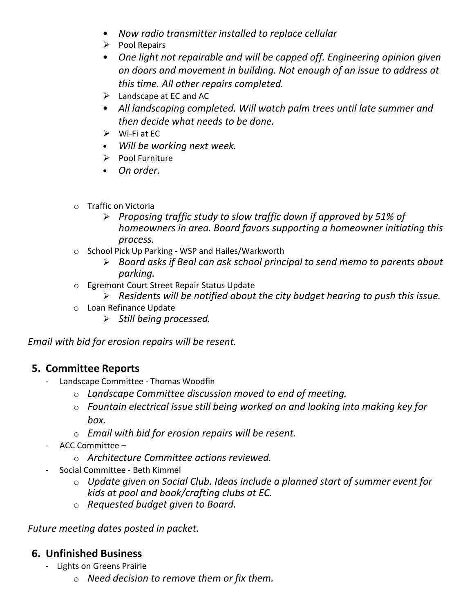- *Now radio transmitter installed to replace cellular*
- ➢ Pool Repairs
- *One light not repairable and will be capped off. Engineering opinion given on doors and movement in building. Not enough of an issue to address at this time. All other repairs completed.*
- $\blacktriangleright$  Landscape at EC and AC
- *All landscaping completed. Will watch palm trees until late summer and then decide what needs to be done.*
- $\triangleright$  Wi-Fi at EC
- *Will be working next week.*
- ➢ Pool Furniture
- *On order.*
- o Traffic on Victoria
	- ➢ *Proposing traffic study to slow traffic down if approved by 51% of homeowners in area. Board favors supporting a homeowner initiating this process.*
- o School Pick Up Parking WSP and Hailes/Warkworth
	- ➢ *Board asks if Beal can ask school principal to send memo to parents about parking.*
- o Egremont Court Street Repair Status Update
	- ➢ *Residents will be notified about the city budget hearing to push this issue.*
- o Loan Refinance Update
	- ➢ *Still being processed.*

*Email with bid for erosion repairs will be resent.*

### **5. Committee Reports**

- Landscape Committee Thomas Woodfin
	- o *Landscape Committee discussion moved to end of meeting.*
	- o *Fountain electrical issue still being worked on and looking into making key for box.*
	- o *Email with bid for erosion repairs will be resent.*
- ACC Committee
	- o *Architecture Committee actions reviewed.*
- Social Committee Beth Kimmel
	- o *Update given on Social Club. Ideas include a planned start of summer event for kids at pool and book/crafting clubs at EC.*
	- o *Requested budget given to Board.*

*Future meeting dates posted in packet.*

### **6. Unfinished Business**

- Lights on Greens Prairie
	- o *Need decision to remove them or fix them.*